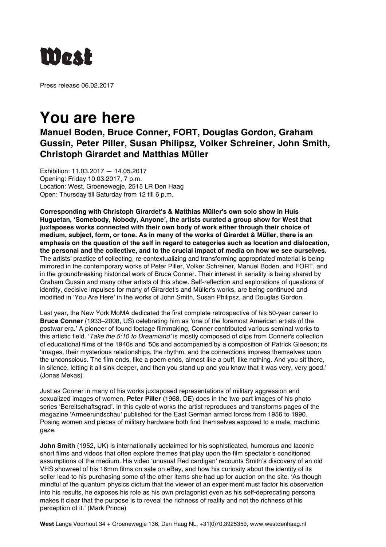

Press release 06.02.2017

## **You are here**

## **Manuel Boden, Bruce Conner, FORT, Douglas Gordon, Graham Gussin, Peter Piller, Susan Philipsz, Volker Schreiner, John Smith, Christoph Girardet and Matthias Müller**

Exhibition: 11.03.2017 — 14.05.2017 Opening: Friday 10.03.2017, 7 p.m. Location: West, Groenewegje, 2515 LR Den Haag Open: Thursday till Saturday from 12 till 6 p.m.

**Corresponding with Christoph Girardet's & Matthias Müller's own solo show in Huis Huguetan, 'Somebody, Nobody, Anyone', the artists curated a group show for West that juxtaposes works connected with their own body of work either through their choice of medium, subject, form, or tone. As in many of the works of Girardet & Müller, there is an emphasis on the question of the self in regard to categories such as location and dislocation, the personal and the collective, and to the crucial impact of media on how we see ourselves.**  The artists' practice of collecting, re-contextualizing and transforming appropriated material is being mirrored in the contemporary works of Peter Piller, Volker Schreiner, Manuel Boden, and FORT, and in the groundbreaking historical work of Bruce Conner. Their interest in seriality is being shared by Graham Gussin and many other artists of this show. Self-reflection and explorations of questions of identity, decisive impulses for many of Girardet's and Müller's works, are being continued and modified in 'You Are Here' in the works of John Smith, Susan Philipsz, and Douglas Gordon.

Last year, the New York MoMA dedicated the first complete retrospective of his 50-year career to **Bruce Conner** (1933–2008, US) celebrating him as 'one of the foremost American artists of the postwar era.' A pioneer of found footage filmmaking, Conner contributed various seminal works to this artistic field. '*Take the 5:10 to Dreamland'* is mostly composed of clips from Conner's collection of educational films of the 1940s and '50s and accompanied by a composition of Patrick Gleeson; its 'images, their mysterious relationships, the rhythm, and the connections impress themselves upon the unconscious. The film ends, like a poem ends, almost like a puff, like nothing. And you sit there, in silence, letting it all sink deeper, and then you stand up and you know that it was very, very good.' (Jonas Mekas)

Just as Conner in many of his works juxtaposed representations of military aggression and sexualized images of women, **Peter Piller** (1968, DE) does in the two-part images of his photo series 'Bereitschaftsgrad'. In this cycle of works the artist reproduces and transforms pages of the magazine 'Armeerundschau' published for the East German armed forces from 1956 to 1990. Posing women and pieces of military hardware both find themselves exposed to a male, machinic gaze.

**John Smith** (1952, UK) is internationally acclaimed for his sophisticated, humorous and laconic short films and videos that often explore themes that play upon the film spectator's conditioned assumptions of the medium. His video 'unusual Red cardigan' recounts Smith's discovery of an old VHS showreel of his 16mm films on sale on eBay, and how his curiosity about the identity of its seller lead to his purchasing some of the other items she had up for auction on the site. 'As though mindful of the quantum physics dictum that the viewer of an experiment must factor his observation into his results, he exposes his role as his own protagonist even as his self-deprecating persona makes it clear that the purpose is to reveal the richness of reality and not the richness of his perception of it.' (Mark Prince)

**West** Lange Voorhout 34 + Groenewegje 136, Den Haag NL, +31(0)70.3925359, www.westdenhaag.nl